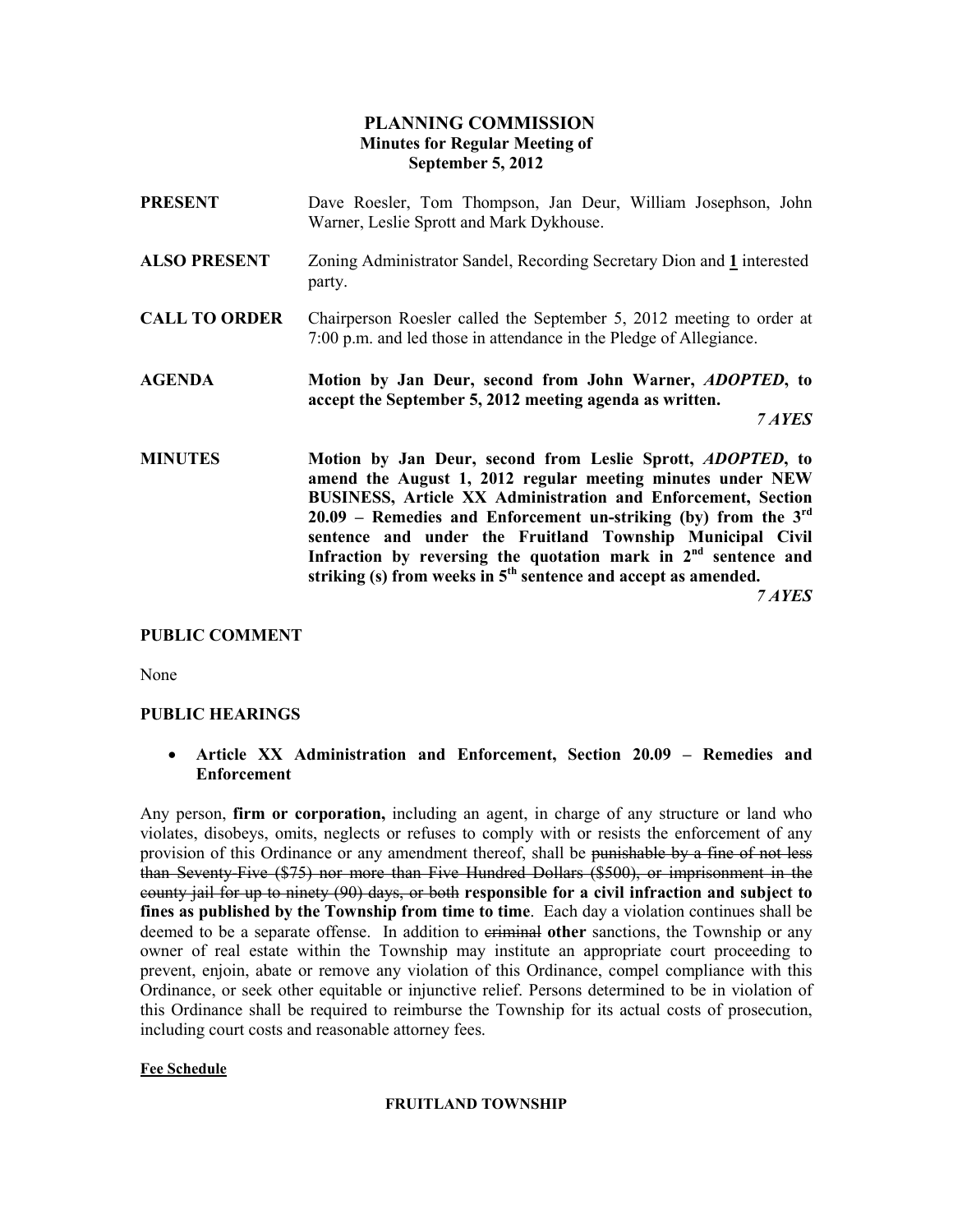# PLANNING COMMISSION Minutes for Regular Meeting of September 5, 2012

- PRESENT Dave Roesler, Tom Thompson, Jan Deur, William Josephson, John Warner, Leslie Sprott and Mark Dykhouse.
- ALSO PRESENT Zoning Administrator Sandel, Recording Secretary Dion and 1 interested party.
- CALL TO ORDER Chairperson Roesler called the September 5, 2012 meeting to order at 7:00 p.m. and led those in attendance in the Pledge of Allegiance.
- AGENDA Motion by Jan Deur, second from John Warner, ADOPTED, to accept the September 5, 2012 meeting agenda as written.

7 AYES

MINUTES Motion by Jan Deur, second from Leslie Sprott, ADOPTED, to amend the August 1, 2012 regular meeting minutes under NEW BUSINESS, Article XX Administration and Enforcement, Section 20.09 – Remedies and Enforcement un-striking (by) from the  $3<sup>rd</sup>$ sentence and under the Fruitland Township Municipal Civil Infraction by reversing the quotation mark in  $2<sup>nd</sup>$  sentence and striking (s) from weeks in  $5<sup>th</sup>$  sentence and accept as amended.

7 AYES

### PUBLIC COMMENT

None

#### PUBLIC HEARINGS

• Article XX Administration and Enforcement, Section 20.09 – Remedies and Enforcement

Any person, **firm or corporation**, including an agent, in charge of any structure or land who violates, disobeys, omits, neglects or refuses to comply with or resists the enforcement of any provision of this Ordinance or any amendment thereof, shall be punishable by a fine of not less than Seventy-Five (\$75) nor more than Five Hundred Dollars (\$500), or imprisonment in the county jail for up to ninety (90) days, or both responsible for a civil infraction and subject to fines as published by the Township from time to time. Each day a violation continues shall be deemed to be a separate offense. In addition to eriminal other sanctions, the Township or any owner of real estate within the Township may institute an appropriate court proceeding to prevent, enjoin, abate or remove any violation of this Ordinance, compel compliance with this Ordinance, or seek other equitable or injunctive relief. Persons determined to be in violation of this Ordinance shall be required to reimburse the Township for its actual costs of prosecution, including court costs and reasonable attorney fees.

#### Fee Schedule

#### FRUITLAND TOWNSHIP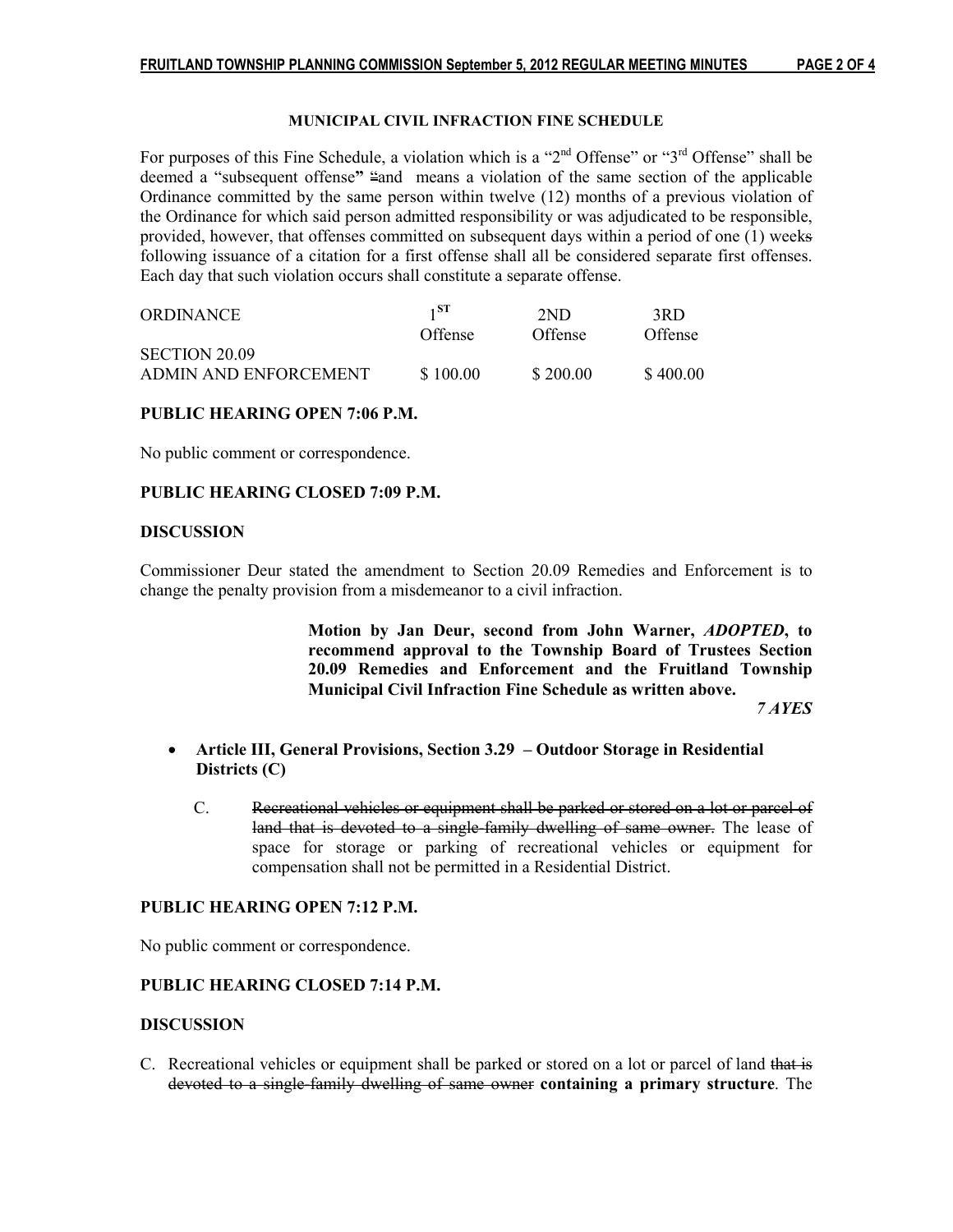#### MUNICIPAL CIVIL INFRACTION FINE SCHEDULE

For purposes of this Fine Schedule, a violation which is a " $2<sup>nd</sup>$  Offense" or " $3<sup>rd</sup>$  Offense" shall be deemed a "subsequent offense" "and means a violation of the same section of the applicable Ordinance committed by the same person within twelve (12) months of a previous violation of the Ordinance for which said person admitted responsibility or was adjudicated to be responsible, provided, however, that offenses committed on subsequent days within a period of one (1) weeks following issuance of a citation for a first offense shall all be considered separate first offenses. Each day that such violation occurs shall constitute a separate offense.

| <b>ORDINANCE</b>      | $1^{\rm ST}$ | 2ND      | 3RD      |
|-----------------------|--------------|----------|----------|
|                       | Offense      | Offense  | Offense  |
| SECTION 20.09         |              |          |          |
| ADMIN AND ENFORCEMENT | \$100.00     | \$200.00 | \$400.00 |

#### PUBLIC HEARING OPEN 7:06 P.M.

No public comment or correspondence.

#### PUBLIC HEARING CLOSED 7:09 P.M.

#### DISCUSSION

Commissioner Deur stated the amendment to Section 20.09 Remedies and Enforcement is to change the penalty provision from a misdemeanor to a civil infraction.

Motion by Jan Deur, second from John Warner, ADOPTED, to recommend approval to the Township Board of Trustees Section 20.09 Remedies and Enforcement and the Fruitland Township Municipal Civil Infraction Fine Schedule as written above. 7 AYES

# • Article III, General Provisions, Section 3.29 – Outdoor Storage in Residential Districts (C)

 C. Recreational vehicles or equipment shall be parked or stored on a lot or parcel of land that is devoted to a single-family dwelling of same owner. The lease of space for storage or parking of recreational vehicles or equipment for compensation shall not be permitted in a Residential District.

#### PUBLIC HEARING OPEN 7:12 P.M.

No public comment or correspondence.

## PUBLIC HEARING CLOSED 7:14 P.M.

#### **DISCUSSION**

C. Recreational vehicles or equipment shall be parked or stored on a lot or parcel of land that is devoted to a single-family dwelling of same owner containing a primary structure. The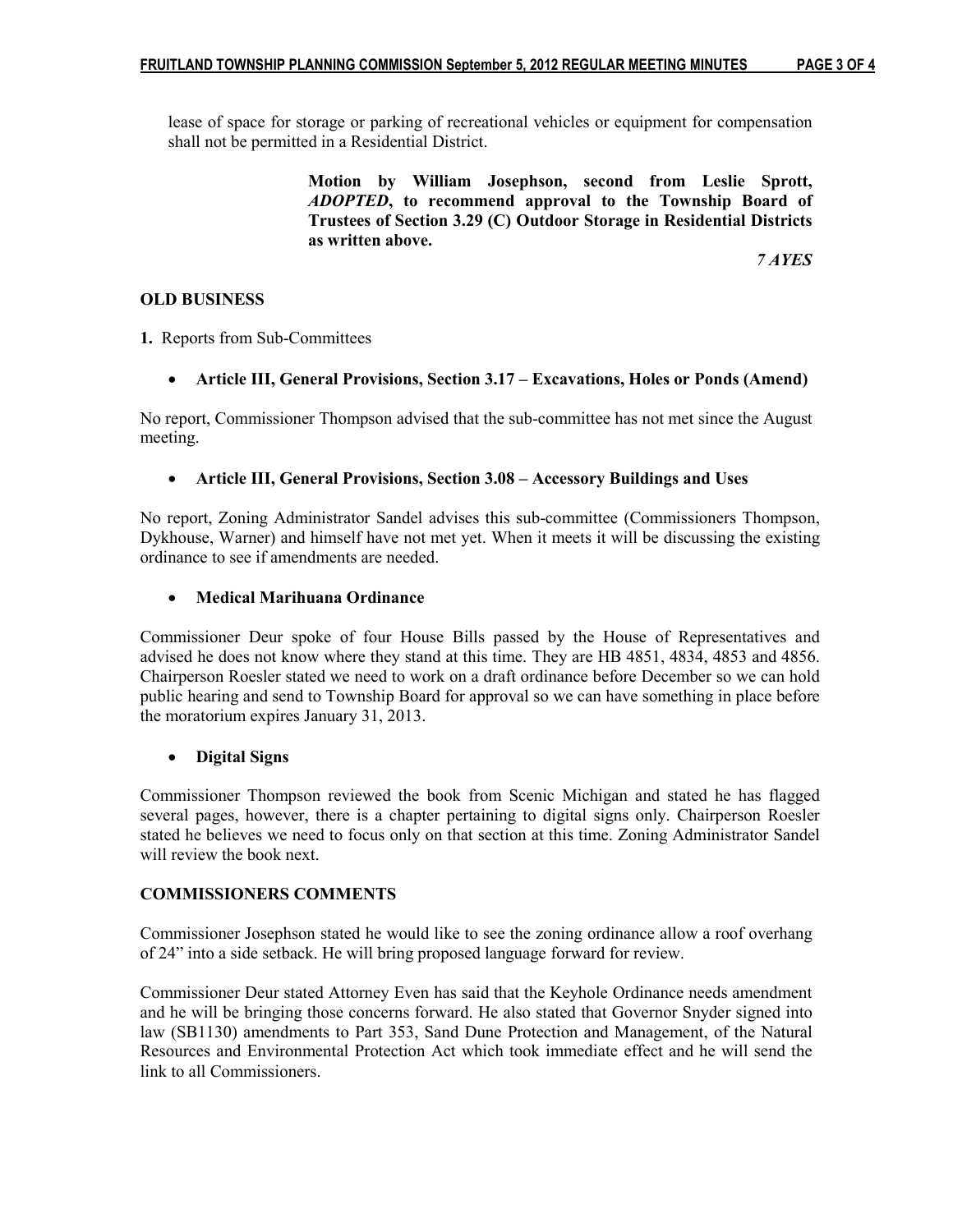lease of space for storage or parking of recreational vehicles or equipment for compensation shall not be permitted in a Residential District.

> Motion by William Josephson, second from Leslie Sprott, ADOPTED, to recommend approval to the Township Board of Trustees of Section 3.29 (C) Outdoor Storage in Residential Districts as written above.

7 AYES

## OLD BUSINESS

1. Reports from Sub-Committees

• Article III, General Provisions, Section 3.17 – Excavations, Holes or Ponds (Amend)

No report, Commissioner Thompson advised that the sub-committee has not met since the August meeting.

# • Article III, General Provisions, Section 3.08 – Accessory Buildings and Uses

No report, Zoning Administrator Sandel advises this sub-committee (Commissioners Thompson, Dykhouse, Warner) and himself have not met yet. When it meets it will be discussing the existing ordinance to see if amendments are needed.

### • Medical Marihuana Ordinance

Commissioner Deur spoke of four House Bills passed by the House of Representatives and advised he does not know where they stand at this time. They are HB 4851, 4834, 4853 and 4856. Chairperson Roesler stated we need to work on a draft ordinance before December so we can hold public hearing and send to Township Board for approval so we can have something in place before the moratorium expires January 31, 2013.

# • Digital Signs

Commissioner Thompson reviewed the book from Scenic Michigan and stated he has flagged several pages, however, there is a chapter pertaining to digital signs only. Chairperson Roesler stated he believes we need to focus only on that section at this time. Zoning Administrator Sandel will review the book next.

### COMMISSIONERS COMMENTS

Commissioner Josephson stated he would like to see the zoning ordinance allow a roof overhang of 24" into a side setback. He will bring proposed language forward for review.

Commissioner Deur stated Attorney Even has said that the Keyhole Ordinance needs amendment and he will be bringing those concerns forward. He also stated that Governor Snyder signed into law (SB1130) amendments to Part 353, Sand Dune Protection and Management, of the Natural Resources and Environmental Protection Act which took immediate effect and he will send the link to all Commissioners.